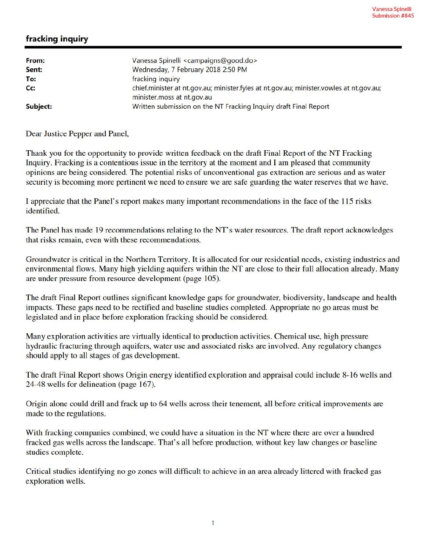## fracking inquiry

| From:<br>Sent: | Vanessa Spinelli <campaigns@good.do><br/>Wednesday, 7 February 2018 2:50 PM</campaigns@good.do>                                           |
|----------------|-------------------------------------------------------------------------------------------------------------------------------------------|
| To:<br>Cc:     | fracking inquiry<br>chief.minister at nt.gov.au; minister.fyles at nt.gov.au; minister.vowles at nt.gov.au;<br>minister.moss at nt.gov.au |
| Subject:       | Written submission on the NT Fracking Inquiry draft Final Report                                                                          |

Dear Justice Pepper and Panel,

Thank you for the opportunity to provide written feedback on the draft Final Report of the NT Fracking Inquiry. Fracking is a contentious issue in the territory at the moment and I am pleased that community opinions are being considered. The potential risks of unconventional gas extraction are serious and as water security is becoming more pertinent we need to ensure we are safe guarding the water reserves that we have.

I appreciate that the Panel's report makes many important recommendations in the face of the 115 risks identified.

The Panel has made 19 recommendations relating to the NT's water resources. The draft report acknowledges that risks remain, even with these recommendations.

Groundwater is critical in the Northern Territory. It is allocated for our residential needs, existing industries and environmental flows. Many high yielding aquifers within the NT are close to their full allocation already. Many are under pressure from resource development (page 105).

The draft Final Report outlines significant knowledge gaps for groundwater, biodiversity, landscape and health impacts. These gaps need to be rectified and baseline studies completed. Appropriate no go areas must be legislated and in place before exploration fracking should be considered.

Many exploration activities are virtually identical to production activities. Chemical use, high pressure hydraulic fracturing through aquifers, water use and associated risks are involved. Any regulatory changes should apply to all stages of gas development.

The draft Final Report shows Origin energy identified exploration and appraisal could include 8-16 wells and 24-48 wells for delineation (page 167).

Origin alone could drill and frack up to 64 wells across their tenement, all before critical improvements are made to the regulations.

With fracking companies combined, we could have a situation in the NT where there are over a hundred fracked gas wells across the landscape. That's all before production, without key law changes or baseline studies complete.

Critical studies identifying no go zones will difficult to achieve in an area already littered with fracked gas exploration wells.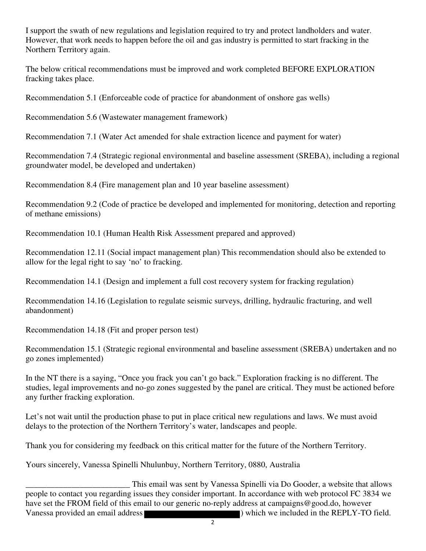I support the swath of new regulations and legislation required to try and protect landholders and water. However, that work needs to happen before the oil and gas industry is permitted to start fracking in the Northern Territory again.

The below critical recommendations must be improved and work completed BEFORE EXPLORATION fracking takes place.

Recommendation 5.1 (Enforceable code of practice for abandonment of onshore gas wells)

Recommendation 5.6 (Wastewater management framework)

Recommendation 7.1 (Water Act amended for shale extraction licence and payment for water)

Recommendation 7.4 (Strategic regional environmental and baseline assessment (SREBA), including a regional groundwater model, be developed and undertaken)

Recommendation 8.4 (Fire management plan and 10 year baseline assessment)

Recommendation 9.2 (Code of practice be developed and implemented for monitoring, detection and reporting of methane emissions)

Recommendation 10.1 (Human Health Risk Assessment prepared and approved)

Recommendation 12.11 (Social impact management plan) This recommendation should also be extended to allow for the legal right to say 'no' to fracking.

Recommendation 14.1 (Design and implement a full cost recovery system for fracking regulation)

Recommendation 14.16 (Legislation to regulate seismic surveys, drilling, hydraulic fracturing, and well abandonment)

Recommendation 14.18 (Fit and proper person test)

Recommendation 15.1 (Strategic regional environmental and baseline assessment (SREBA) undertaken and no go zones implemented)

In the NT there is a saying, "Once you frack you can't go back." Exploration fracking is no different. The studies, legal improvements and no-go zones suggested by the panel are critical. They must be actioned before any further fracking exploration.

Let's not wait until the production phase to put in place critical new regulations and laws. We must avoid delays to the protection of the Northern Territory's water, landscapes and people.

Thank you for considering my feedback on this critical matter for the future of the Northern Territory.

Yours sincerely, Vanessa Spinelli Nhulunbuy, Northern Territory, 0880, Australia

This email was sent by Vanessa Spinelli via Do Gooder, a website that allows<br>people to contact you regarding issues they consider important. In accordance with web protocol FC 3834 we have set the FROM field of this email to our generic no-reply address at campaigns@good.do, however Vanessa provided an email address (a) which we included in the REPLY-TO field.